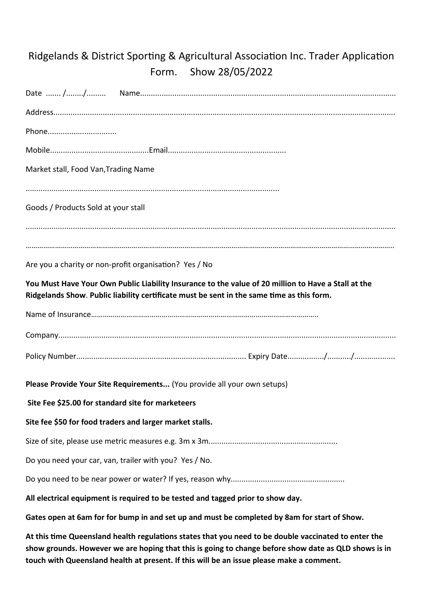## Ridgelands & District Sporting & Agricultural Association Inc. Trader Application Form. Show 28/05/2022

| Phone                                                                                                                                                                                                        |
|--------------------------------------------------------------------------------------------------------------------------------------------------------------------------------------------------------------|
|                                                                                                                                                                                                              |
| Market stall, Food Van, Trading Name                                                                                                                                                                         |
|                                                                                                                                                                                                              |
| Goods / Products Sold at your stall                                                                                                                                                                          |
|                                                                                                                                                                                                              |
|                                                                                                                                                                                                              |
| Are you a charity or non-profit organisation? Yes / No                                                                                                                                                       |
| You Must Have Your Own Public Liability Insurance to the value of 20 million to Have a Stall at the<br>Ridgelands Show. Public liability certificate must be sent in the same time as this form.             |
|                                                                                                                                                                                                              |
|                                                                                                                                                                                                              |
|                                                                                                                                                                                                              |
| Please Provide Your Site Requirements (You provide all your own setups)                                                                                                                                      |
| Site Fee \$25.00 for standard site for marketeers                                                                                                                                                            |
| Site fee \$50 for food traders and larger market stalls.                                                                                                                                                     |
|                                                                                                                                                                                                              |
| Do you need your car, van, trailer with you? Yes / No.                                                                                                                                                       |
|                                                                                                                                                                                                              |
| All electrical equipment is required to be tested and tagged prior to show day.                                                                                                                              |
| Gates open at 6am for for bump in and set up and must be completed by 8am for start of Show.                                                                                                                 |
| At this time Queensland health regulations states that you need to be double vaccinated to enter the<br>show grounds. However we are hoping that this is going to change before show date as QLD shows is in |

**touch with Queensland health at present. If this will be an issue please make a comment.**